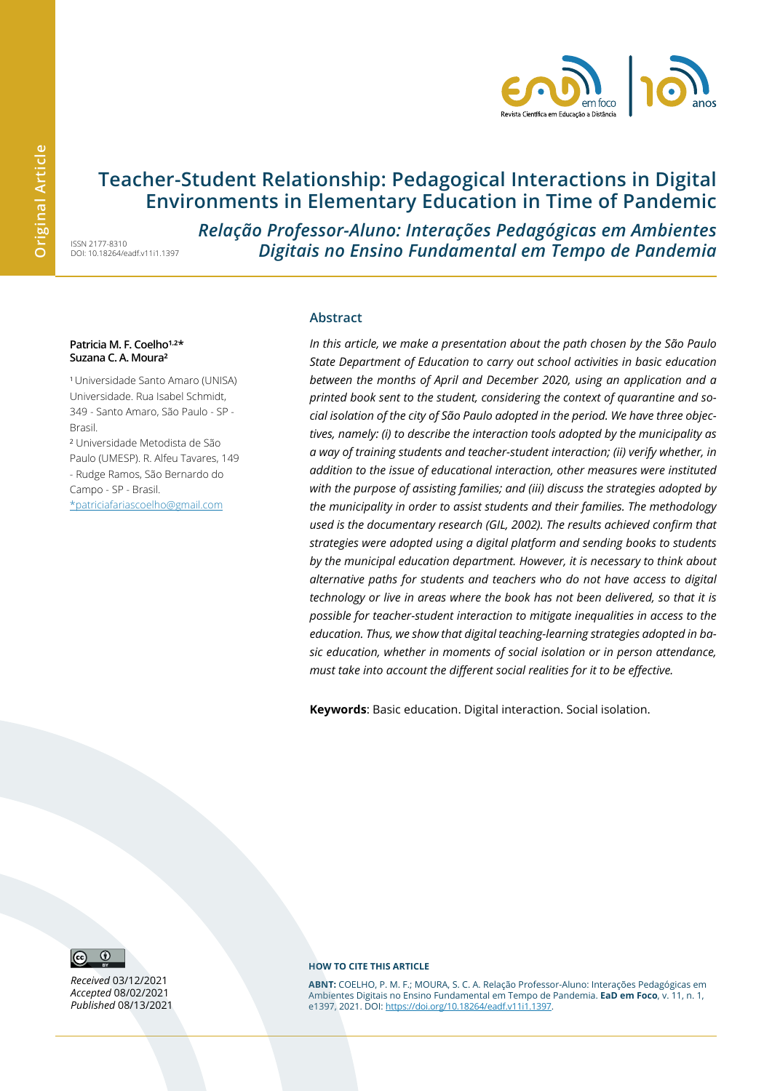

# **Teacher-Student Relationship: Pedagogical Interactions in Digital Environments in Elementary Education in Time of Pandemic**

ISSN 2177-8310 DOI: 10.18264/eadf.v11i1.1397 *Relação Professor-Aluno: Interações Pedagógicas em Ambientes Digitais no Ensino Fundamental em Tempo de Pandemia*

#### Patricia M. F. Coelho<sup>1,2\*</sup> **Suzana C. A. Moura²**

<sup>1</sup>Universidade Santo Amaro (UNISA) Universidade. Rua Isabel Schmidt, 349 - Santo Amaro, São Paulo - SP - Brasil.

² Universidade Metodista de São Paulo (UMESP). R. Alfeu Tavares, 149 - Rudge Ramos, São Bernardo do Campo - SP - Brasil. \*patriciafariascoelh[o@gmail.com](mailto:educacaosobredrogas@gmail.com)

#### **Abstract**

*In this article, we make a presentation about the path chosen by the São Paulo State Department of Education to carry out school activities in basic education between the months of April and December 2020, using an application and a printed book sent to the student, considering the context of quarantine and social isolation of the city of São Paulo adopted in the period. We have three objectives, namely: (i) to describe the interaction tools adopted by the municipality as a way of training students and teacher-student interaction; (ii) verify whether, in addition to the issue of educational interaction, other measures were instituted with the purpose of assisting families; and (iii) discuss the strategies adopted by the municipality in order to assist students and their families. The methodology used is the documentary research (GIL, 2002). The results achieved confirm that strategies were adopted using a digital platform and sending books to students by the municipal education department. However, it is necessary to think about alternative paths for students and teachers who do not have access to digital technology or live in areas where the book has not been delivered, so that it is possible for teacher-student interaction to mitigate inequalities in access to the education. Thus, we show that digital teaching-learning strategies adopted in basic education, whether in moments of social isolation or in person attendance, must take into account the different social realities for it to be effective.*

**Keywords**: Basic education. Digital interaction. Social isolation.



*Received* 03/12/2021 *Accepted* 08/02/2021 *Published* 08/13/2021

#### **HOW TO CITE THIS ARTICLE**

**ABNT:** COELHO, P. M. F.; MOURA, S. C. A. Relação Professor-Aluno: Interações Pedagógicas em Ambientes Digitais no Ensino Fundamental em Tempo de Pandemia. **EaD em Foco**, v. 11, n. 1, e1397, 2021. DOI: https://doi.org/10.18264/eadf.v11i1.1397.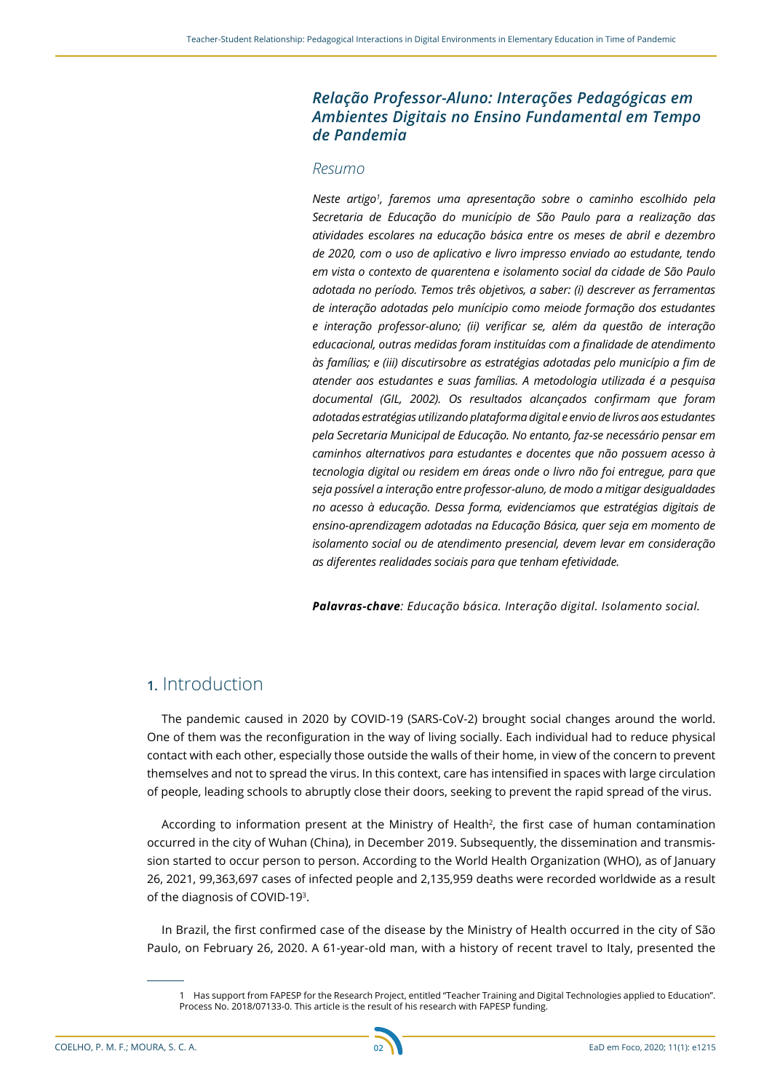### *Relação Professor-Aluno: Interações Pedagógicas em Ambientes Digitais no Ensino Fundamental em Tempo de Pandemia*

### *Resumo*

*Neste artigo1 , faremos uma apresentação sobre o caminho escolhido pela Secretaria de Educação do município de São Paulo para a realização das atividades escolares na educação básica entre os meses de abril e dezembro de 2020, com o uso de aplicativo e livro impresso enviado ao estudante, tendo em vista o contexto de quarentena e isolamento social da cidade de São Paulo adotada no período. Temos três objetivos, a saber: (i) descrever as ferramentas de interação adotadas pelo munícipio como meiode formação dos estudantes e interação professor-aluno; (ii) verificar se, além da questão de interação educacional, outras medidas foram instituídas com a finalidade de atendimento às famílias; e (iii) discutirsobre as estratégias adotadas pelo município a fim de atender aos estudantes e suas famílias. A metodologia utilizada é a pesquisa documental (GIL, 2002). Os resultados alcançados confirmam que foram adotadas estratégias utilizando plataforma digital e envio de livros aos estudantes pela Secretaria Municipal de Educação. No entanto, faz-se necessário pensar em caminhos alternativos para estudantes e docentes que não possuem acesso à tecnologia digital ou residem em áreas onde o livro não foi entregue, para que seja possível a interação entre professor-aluno, de modo a mitigar desigualdades no acesso à educação. Dessa forma, evidenciamos que estratégias digitais de ensino-aprendizagem adotadas na Educação Básica, quer seja em momento de isolamento social ou de atendimento presencial, devem levar em consideração as diferentes realidades sociais para que tenham efetividade.*

*Palavras-chave: Educação básica. Interação digital. Isolamento social.*

## **1.** Introduction

The pandemic caused in 2020 by COVID-19 (SARS-CoV-2) brought social changes around the world. One of them was the reconfiguration in the way of living socially. Each individual had to reduce physical contact with each other, especially those outside the walls of their home, in view of the concern to prevent themselves and not to spread the virus. In this context, care has intensified in spaces with large circulation of people, leading schools to abruptly close their doors, seeking to prevent the rapid spread of the virus.

According to information present at the Ministry of Health<sup>2</sup>, the first case of human contamination occurred in the city of Wuhan (China), in December 2019. Subsequently, the dissemination and transmission started to occur person to person. According to the World Health Organization (WHO), as of January 26, 2021, 99,363,697 cases of infected people and 2,135,959 deaths were recorded worldwide as a result of the diagnosis of COVID-193.

In Brazil, the first confirmed case of the disease by the Ministry of Health occurred in the city of São Paulo, on February 26, 2020. A 61-year-old man, with a history of recent travel to Italy, presented the



<sup>1</sup> Has support from FAPESP for the Research Project, entitled "Teacher Training and Digital Technologies applied to Education". Process No. 2018/07133-0. This article is the result of his research with FAPESP funding.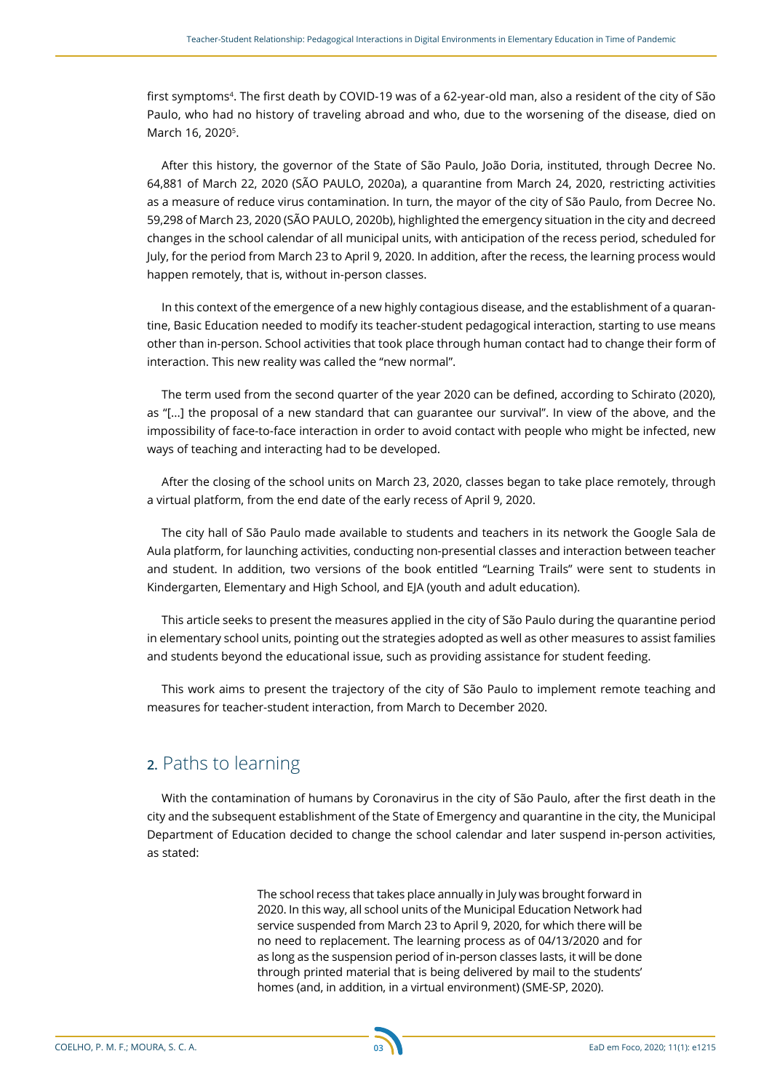first symptoms<sup>4</sup>. The first death by COVID-19 was of a 62-year-old man, also a resident of the city of São Paulo, who had no history of traveling abroad and who, due to the worsening of the disease, died on March 16, 2020<sup>5</sup>.

After this history, the governor of the State of São Paulo, João Doria, instituted, through Decree No. 64,881 of March 22, 2020 (SÃO PAULO, 2020a), a quarantine from March 24, 2020, restricting activities as a measure of reduce virus contamination. In turn, the mayor of the city of São Paulo, from Decree No. 59,298 of March 23, 2020 (SÃO PAULO, 2020b), highlighted the emergency situation in the city and decreed changes in the school calendar of all municipal units, with anticipation of the recess period, scheduled for July, for the period from March 23 to April 9, 2020. In addition, after the recess, the learning process would happen remotely, that is, without in-person classes.

In this context of the emergence of a new highly contagious disease, and the establishment of a quarantine, Basic Education needed to modify its teacher-student pedagogical interaction, starting to use means other than in-person. School activities that took place through human contact had to change their form of interaction. This new reality was called the "new normal".

The term used from the second quarter of the year 2020 can be defined, according to Schirato (2020), as "[...] the proposal of a new standard that can guarantee our survival". In view of the above, and the impossibility of face-to-face interaction in order to avoid contact with people who might be infected, new ways of teaching and interacting had to be developed.

After the closing of the school units on March 23, 2020, classes began to take place remotely, through a virtual platform, from the end date of the early recess of April 9, 2020.

The city hall of São Paulo made available to students and teachers in its network the Google Sala de Aula platform, for launching activities, conducting non-presential classes and interaction between teacher and student. In addition, two versions of the book entitled "Learning Trails" were sent to students in Kindergarten, Elementary and High School, and EJA (youth and adult education).

This article seeks to present the measures applied in the city of São Paulo during the quarantine period in elementary school units, pointing out the strategies adopted as well as other measures to assist families and students beyond the educational issue, such as providing assistance for student feeding.

This work aims to present the trajectory of the city of São Paulo to implement remote teaching and measures for teacher-student interaction, from March to December 2020.

# **2.** Paths to learning

With the contamination of humans by Coronavirus in the city of São Paulo, after the first death in the city and the subsequent establishment of the State of Emergency and quarantine in the city, the Municipal Department of Education decided to change the school calendar and later suspend in-person activities, as stated:

> The school recess that takes place annually in July was brought forward in 2020. In this way, all school units of the Municipal Education Network had service suspended from March 23 to April 9, 2020, for which there will be no need to replacement. The learning process as of 04/13/2020 and for as long as the suspension period of in-person classes lasts, it will be done through printed material that is being delivered by mail to the students' homes (and, in addition, in a virtual environment) (SME-SP, 2020).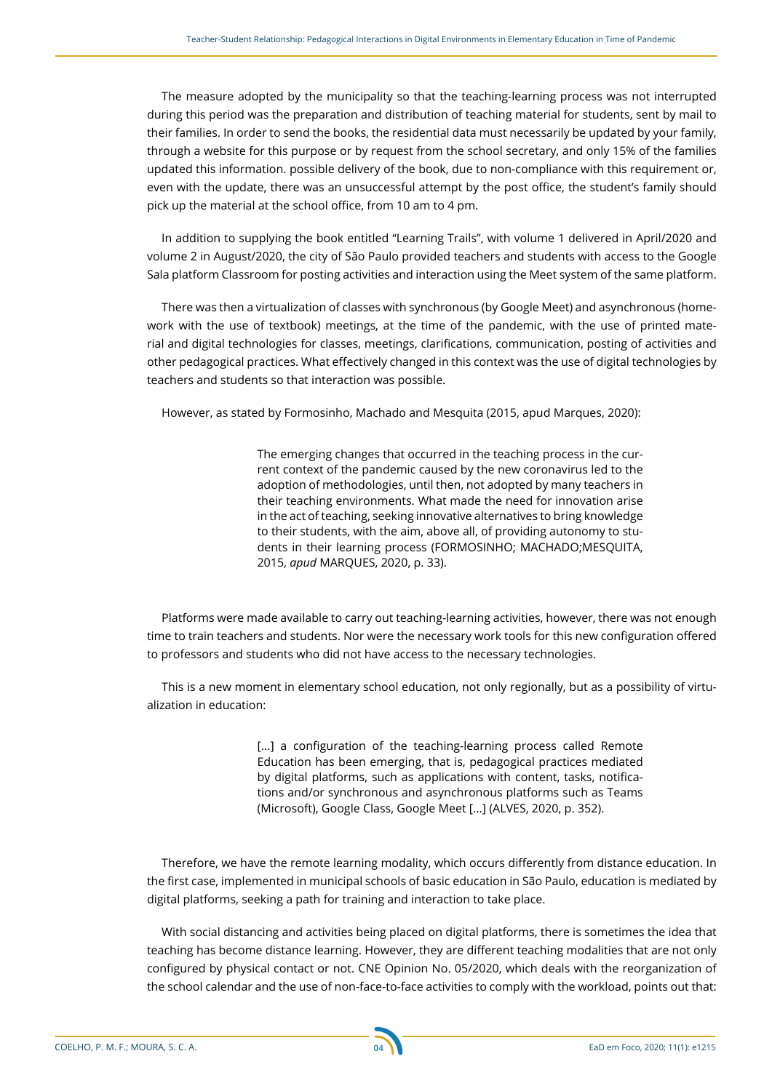The measure adopted by the municipality so that the teaching-learning process was not interrupted during this period was the preparation and distribution of teaching material for students, sent by mail to their families. In order to send the books, the residential data must necessarily be updated by your family, through a website for this purpose or by request from the school secretary, and only 15% of the families updated this information. possible delivery of the book, due to non-compliance with this requirement or, even with the update, there was an unsuccessful attempt by the post office, the student's family should pick up the material at the school office, from 10 am to 4 pm.

In addition to supplying the book entitled "Learning Trails", with volume 1 delivered in April/2020 and volume 2 in August/2020, the city of São Paulo provided teachers and students with access to the Google Sala platform Classroom for posting activities and interaction using the Meet system of the same platform.

There was then a virtualization of classes with synchronous (by Google Meet) and asynchronous (homework with the use of textbook) meetings, at the time of the pandemic, with the use of printed material and digital technologies for classes, meetings, clarifications, communication, posting of activities and other pedagogical practices. What effectively changed in this context was the use of digital technologies by teachers and students so that interaction was possible.

However, as stated by Formosinho, Machado and Mesquita (2015, apud Marques, 2020):

The emerging changes that occurred in the teaching process in the current context of the pandemic caused by the new coronavirus led to the adoption of methodologies, until then, not adopted by many teachers in their teaching environments. What made the need for innovation arise in the act of teaching, seeking innovative alternatives to bring knowledge to their students, with the aim, above all, of providing autonomy to students in their learning process (FORMOSINHO; MACHADO;MESQUITA, 2015, *apud* MARQUES, 2020, p. 33).

Platforms were made available to carry out teaching-learning activities, however, there was not enough time to train teachers and students. Nor were the necessary work tools for this new configuration offered to professors and students who did not have access to the necessary technologies.

This is a new moment in elementary school education, not only regionally, but as a possibility of virtualization in education:

> [...] a configuration of the teaching-learning process called Remote Education has been emerging, that is, pedagogical practices mediated by digital platforms, such as applications with content, tasks, notifications and/or synchronous and asynchronous platforms such as Teams (Microsoft), Google Class, Google Meet [...] (ALVES, 2020, p. 352).

Therefore, we have the remote learning modality, which occurs differently from distance education. In the first case, implemented in municipal schools of basic education in São Paulo, education is mediated by digital platforms, seeking a path for training and interaction to take place.

With social distancing and activities being placed on digital platforms, there is sometimes the idea that teaching has become distance learning. However, they are different teaching modalities that are not only configured by physical contact or not. CNE Opinion No. 05/2020, which deals with the reorganization of the school calendar and the use of non-face-to-face activities to comply with the workload, points out that: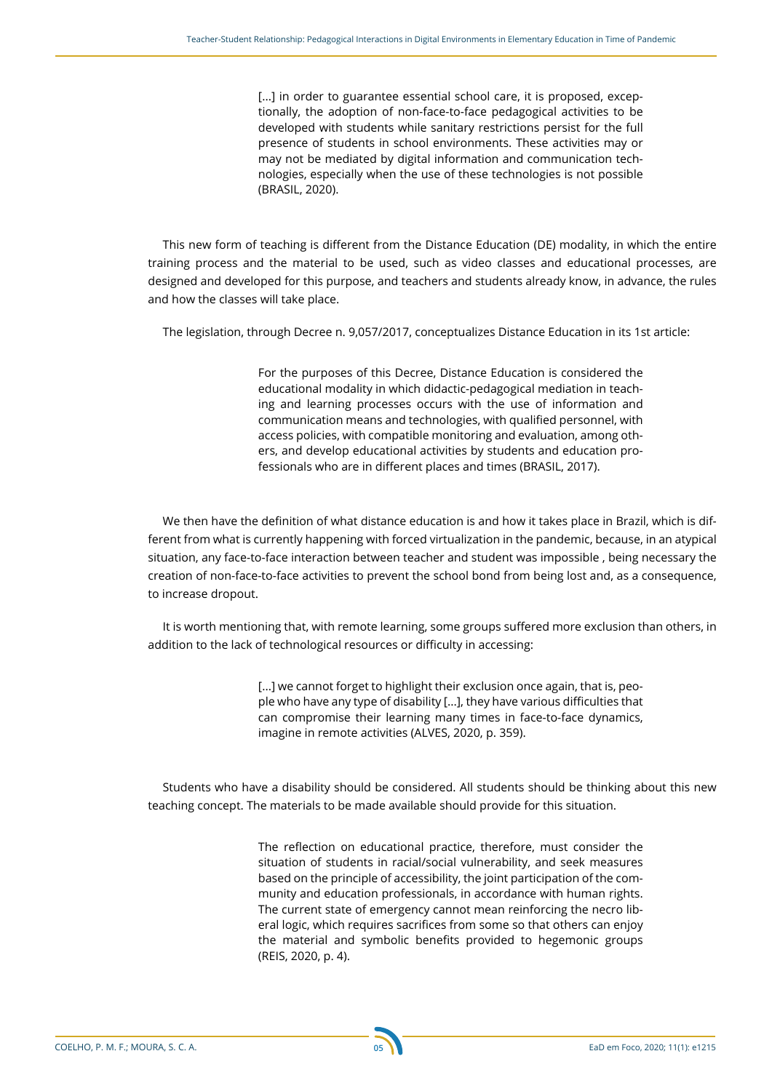[...] in order to guarantee essential school care, it is proposed, exceptionally, the adoption of non-face-to-face pedagogical activities to be developed with students while sanitary restrictions persist for the full presence of students in school environments. These activities may or may not be mediated by digital information and communication technologies, especially when the use of these technologies is not possible (BRASIL, 2020).

This new form of teaching is different from the Distance Education (DE) modality, in which the entire training process and the material to be used, such as video classes and educational processes, are designed and developed for this purpose, and teachers and students already know, in advance, the rules and how the classes will take place.

The legislation, through Decree n. 9,057/2017, conceptualizes Distance Education in its 1st article:

For the purposes of this Decree, Distance Education is considered the educational modality in which didactic-pedagogical mediation in teaching and learning processes occurs with the use of information and communication means and technologies, with qualified personnel, with access policies, with compatible monitoring and evaluation, among others, and develop educational activities by students and education professionals who are in different places and times (BRASIL, 2017).

We then have the definition of what distance education is and how it takes place in Brazil, which is different from what is currently happening with forced virtualization in the pandemic, because, in an atypical situation, any face-to-face interaction between teacher and student was impossible , being necessary the creation of non-face-to-face activities to prevent the school bond from being lost and, as a consequence, to increase dropout.

It is worth mentioning that, with remote learning, some groups suffered more exclusion than others, in addition to the lack of technological resources or difficulty in accessing:

> [...] we cannot forget to highlight their exclusion once again, that is, people who have any type of disability [...], they have various difficulties that can compromise their learning many times in face-to-face dynamics, imagine in remote activities (ALVES, 2020, p. 359).

Students who have a disability should be considered. All students should be thinking about this new teaching concept. The materials to be made available should provide for this situation.

> The reflection on educational practice, therefore, must consider the situation of students in racial/social vulnerability, and seek measures based on the principle of accessibility, the joint participation of the community and education professionals, in accordance with human rights. The current state of emergency cannot mean reinforcing the necro liberal logic, which requires sacrifices from some so that others can enjoy the material and symbolic benefits provided to hegemonic groups (REIS, 2020, p. 4).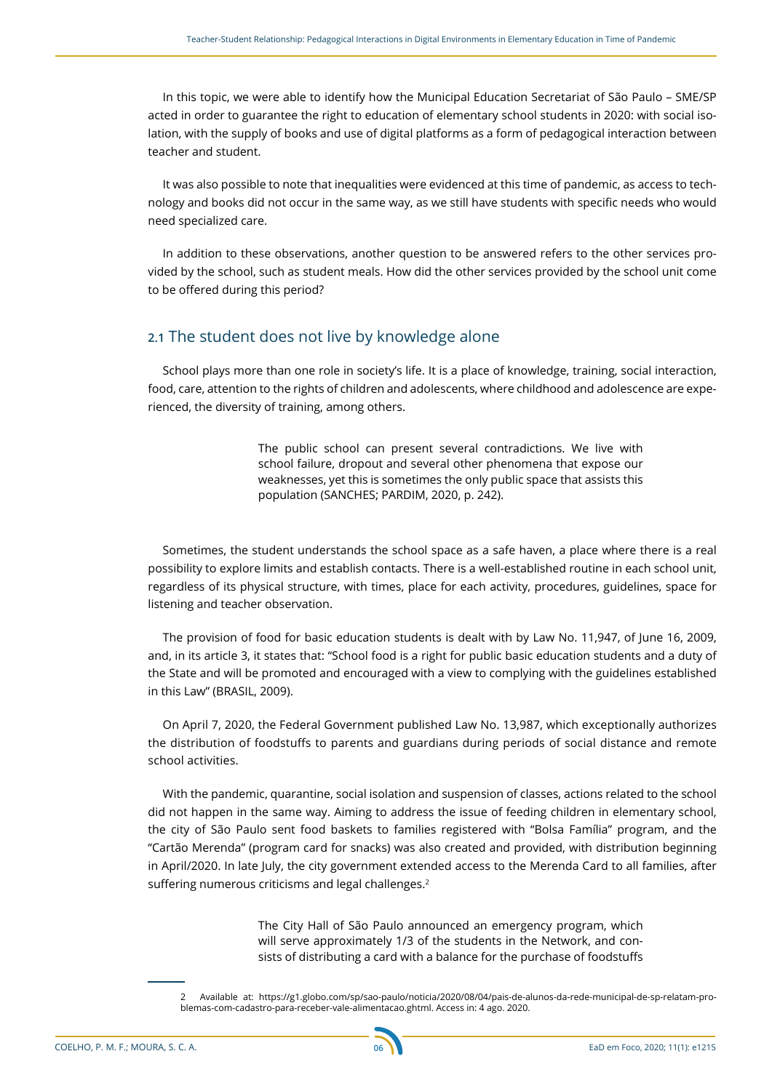In this topic, we were able to identify how the Municipal Education Secretariat of São Paulo – SME/SP acted in order to guarantee the right to education of elementary school students in 2020: with social isolation, with the supply of books and use of digital platforms as a form of pedagogical interaction between teacher and student.

It was also possible to note that inequalities were evidenced at this time of pandemic, as access to technology and books did not occur in the same way, as we still have students with specific needs who would need specialized care.

In addition to these observations, another question to be answered refers to the other services provided by the school, such as student meals. How did the other services provided by the school unit come to be offered during this period?

### **2.1** The student does not live by knowledge alone

School plays more than one role in society's life. It is a place of knowledge, training, social interaction, food, care, attention to the rights of children and adolescents, where childhood and adolescence are experienced, the diversity of training, among others.

> The public school can present several contradictions. We live with school failure, dropout and several other phenomena that expose our weaknesses, yet this is sometimes the only public space that assists this population (SANCHES; PARDIM, 2020, p. 242).

Sometimes, the student understands the school space as a safe haven, a place where there is a real possibility to explore limits and establish contacts. There is a well-established routine in each school unit, regardless of its physical structure, with times, place for each activity, procedures, guidelines, space for listening and teacher observation.

The provision of food for basic education students is dealt with by Law No. 11,947, of June 16, 2009, and, in its article 3, it states that: "School food is a right for public basic education students and a duty of the State and will be promoted and encouraged with a view to complying with the guidelines established in this Law" (BRASIL, 2009).

On April 7, 2020, the Federal Government published Law No. 13,987, which exceptionally authorizes the distribution of foodstuffs to parents and guardians during periods of social distance and remote school activities.

With the pandemic, quarantine, social isolation and suspension of classes, actions related to the school did not happen in the same way. Aiming to address the issue of feeding children in elementary school, the city of São Paulo sent food baskets to families registered with "Bolsa Família" program, and the "Cartão Merenda" (program card for snacks) was also created and provided, with distribution beginning in April/2020. In late July, the city government extended access to the Merenda Card to all families, after suffering numerous criticisms and legal challenges.<sup>2</sup>

> The City Hall of São Paulo announced an emergency program, which will serve approximately 1/3 of the students in the Network, and consists of distributing a card with a balance for the purchase of foodstuffs



<sup>2</sup> Available at: https://g1.globo.com/sp/sao-paulo/noticia/2020/08/04/pais-de-alunos-da-rede-municipal-de-sp-relatam-problemas-com-cadastro-para-receber-vale-alimentacao.ghtml. Access in: 4 ago. 2020.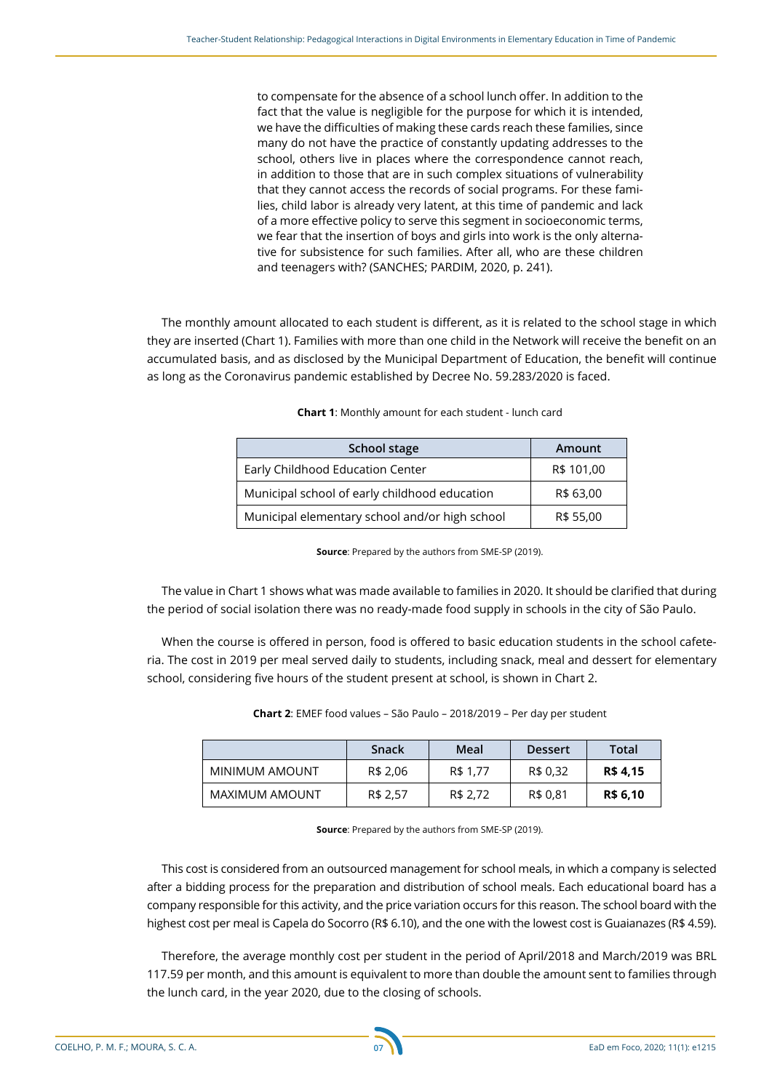to compensate for the absence of a school lunch offer. In addition to the fact that the value is negligible for the purpose for which it is intended, we have the difficulties of making these cards reach these families, since many do not have the practice of constantly updating addresses to the school, others live in places where the correspondence cannot reach, in addition to those that are in such complex situations of vulnerability that they cannot access the records of social programs. For these families, child labor is already very latent, at this time of pandemic and lack of a more effective policy to serve this segment in socioeconomic terms, we fear that the insertion of boys and girls into work is the only alternative for subsistence for such families. After all, who are these children and teenagers with? (SANCHES; PARDIM, 2020, p. 241).

The monthly amount allocated to each student is different, as it is related to the school stage in which they are inserted (Chart 1). Families with more than one child in the Network will receive the benefit on an accumulated basis, and as disclosed by the Municipal Department of Education, the benefit will continue as long as the Coronavirus pandemic established by Decree No. 59.283/2020 is faced.

| School stage                                   | Amount     |
|------------------------------------------------|------------|
| Early Childhood Education Center               | R\$ 101,00 |
| Municipal school of early childhood education  | R\$ 63,00  |
| Municipal elementary school and/or high school | R\$ 55,00  |

**Source**: Prepared by the authors from SME-SP (2019).

The value in Chart 1 shows what was made available to families in 2020. It should be clarified that during the period of social isolation there was no ready-made food supply in schools in the city of São Paulo.

When the course is offered in person, food is offered to basic education students in the school cafeteria. The cost in 2019 per meal served daily to students, including snack, meal and dessert for elementary school, considering five hours of the student present at school, is shown in Chart 2.

| Chart 2: EMEF food values - São Paulo - 2018/2019 - Per day per student |  |
|-------------------------------------------------------------------------|--|
|-------------------------------------------------------------------------|--|

|                | <b>Snack</b> | Meal     | <b>Dessert</b> | Total    |
|----------------|--------------|----------|----------------|----------|
| MINIMUM AMOUNT | R\$ 2,06     | R\$ 1.77 | R\$ 0.32       | R\$ 4,15 |
| MAXIMUM AMOUNT | R\$ 2,57     | R\$ 2,72 | R\$ 0,81       | R\$ 6,10 |

**Source**: Prepared by the authors from SME-SP (2019).

This cost is considered from an outsourced management for school meals, in which a company is selected after a bidding process for the preparation and distribution of school meals. Each educational board has a company responsible for this activity, and the price variation occurs for this reason. The school board with the highest cost per meal is Capela do Socorro (R\$ 6.10), and the one with the lowest cost is Guaianazes (R\$ 4.59).

Therefore, the average monthly cost per student in the period of April/2018 and March/2019 was BRL 117.59 per month, and this amount is equivalent to more than double the amount sent to families through the lunch card, in the year 2020, due to the closing of schools.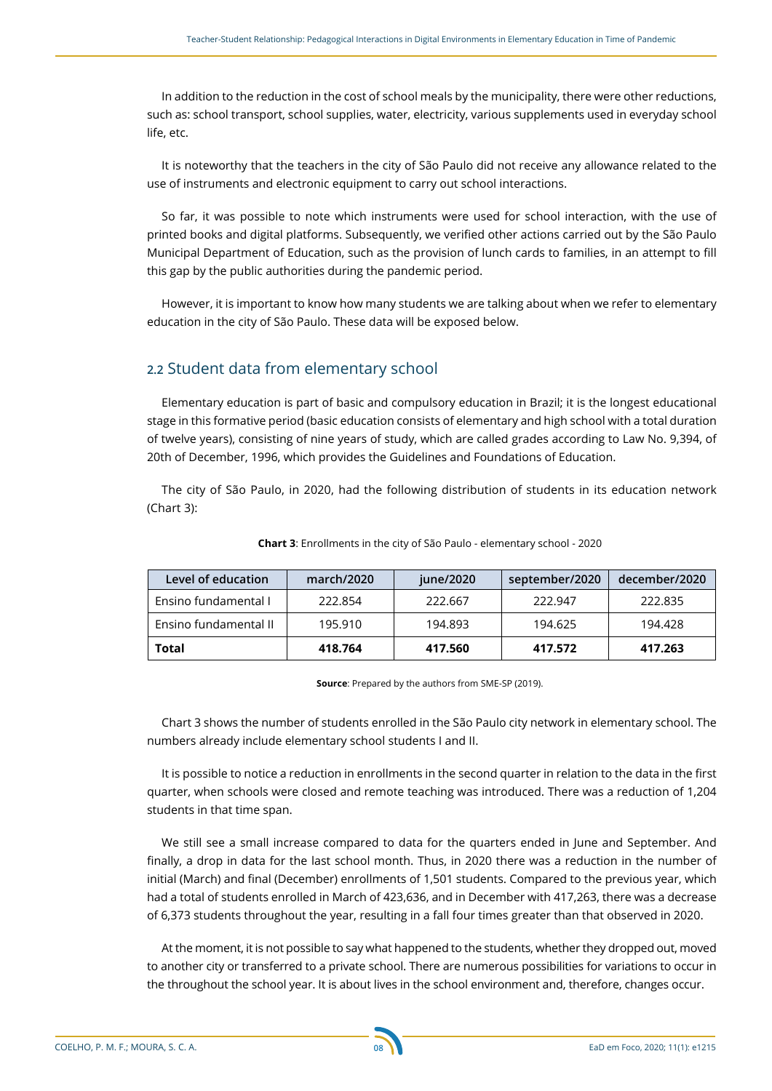In addition to the reduction in the cost of school meals by the municipality, there were other reductions, such as: school transport, school supplies, water, electricity, various supplements used in everyday school life, etc.

It is noteworthy that the teachers in the city of São Paulo did not receive any allowance related to the use of instruments and electronic equipment to carry out school interactions.

So far, it was possible to note which instruments were used for school interaction, with the use of printed books and digital platforms. Subsequently, we verified other actions carried out by the São Paulo Municipal Department of Education, such as the provision of lunch cards to families, in an attempt to fill this gap by the public authorities during the pandemic period.

However, it is important to know how many students we are talking about when we refer to elementary education in the city of São Paulo. These data will be exposed below.

### **2.2** Student data from elementary school

Elementary education is part of basic and compulsory education in Brazil; it is the longest educational stage in this formative period (basic education consists of elementary and high school with a total duration of twelve years), consisting of nine years of study, which are called grades according to Law No. 9,394, of 20th of December, 1996, which provides the Guidelines and Foundations of Education.

The city of São Paulo, in 2020, had the following distribution of students in its education network (Chart 3):

| Level of education    | march/2020 | june/2020 | september/2020 | december/2020 |
|-----------------------|------------|-----------|----------------|---------------|
| Ensino fundamental I  | 222.854    | 222.667   | 222.947        | 222.835       |
| Ensino fundamental II | 195.910    | 194.893   | 194.625        | 194.428       |
| Total                 | 418.764    | 417.560   | 417.572        | 417.263       |

#### **Chart 3**: Enrollments in the city of São Paulo - elementary school - 2020

**Source**: Prepared by the authors from SME-SP (2019).

Chart 3 shows the number of students enrolled in the São Paulo city network in elementary school. The numbers already include elementary school students I and II.

It is possible to notice a reduction in enrollments in the second quarter in relation to the data in the first quarter, when schools were closed and remote teaching was introduced. There was a reduction of 1,204 students in that time span.

We still see a small increase compared to data for the quarters ended in June and September. And finally, a drop in data for the last school month. Thus, in 2020 there was a reduction in the number of initial (March) and final (December) enrollments of 1,501 students. Compared to the previous year, which had a total of students enrolled in March of 423,636, and in December with 417,263, there was a decrease of 6,373 students throughout the year, resulting in a fall four times greater than that observed in 2020.

At the moment, it is not possible to say what happened to the students, whether they dropped out, moved to another city or transferred to a private school. There are numerous possibilities for variations to occur in the throughout the school year. It is about lives in the school environment and, therefore, changes occur.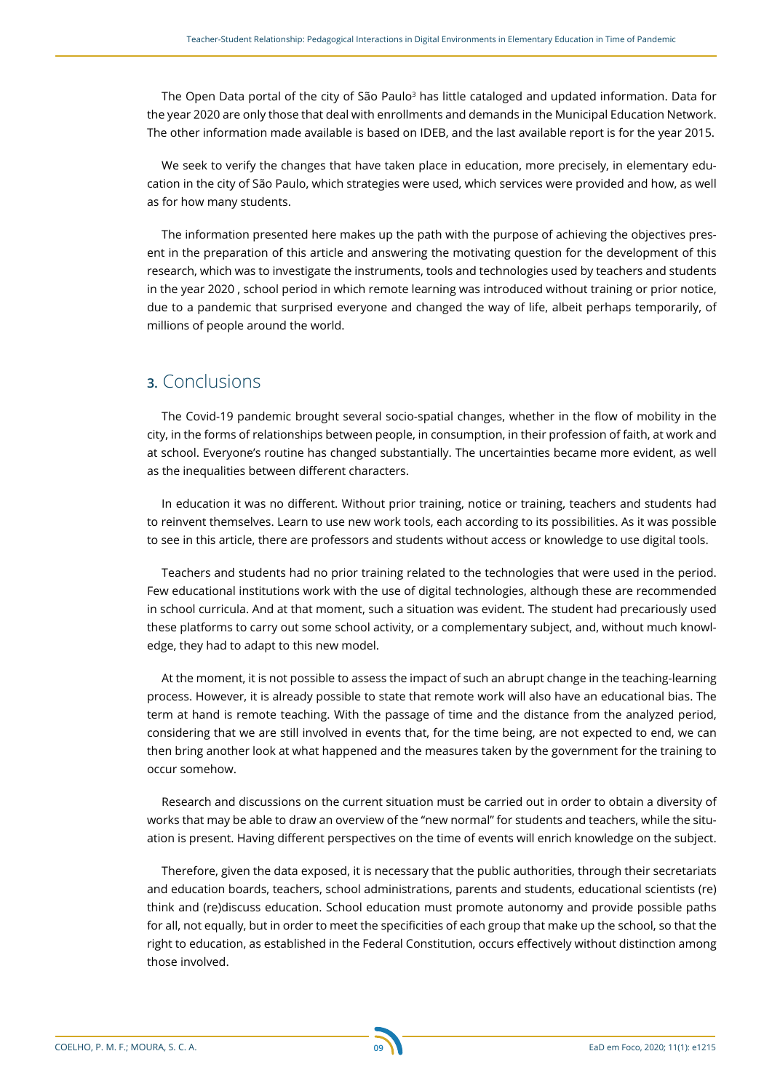The Open Data portal of the city of São Paulo<sup>3</sup> has little cataloged and updated information. Data for the year 2020 are only those that deal with enrollments and demands in the Municipal Education Network. The other information made available is based on IDEB, and the last available report is for the year 2015.

We seek to verify the changes that have taken place in education, more precisely, in elementary education in the city of São Paulo, which strategies were used, which services were provided and how, as well as for how many students.

The information presented here makes up the path with the purpose of achieving the objectives present in the preparation of this article and answering the motivating question for the development of this research, which was to investigate the instruments, tools and technologies used by teachers and students in the year 2020 , school period in which remote learning was introduced without training or prior notice, due to a pandemic that surprised everyone and changed the way of life, albeit perhaps temporarily, of millions of people around the world.

# **3.** Conclusions

The Covid-19 pandemic brought several socio-spatial changes, whether in the flow of mobility in the city, in the forms of relationships between people, in consumption, in their profession of faith, at work and at school. Everyone's routine has changed substantially. The uncertainties became more evident, as well as the inequalities between different characters.

In education it was no different. Without prior training, notice or training, teachers and students had to reinvent themselves. Learn to use new work tools, each according to its possibilities. As it was possible to see in this article, there are professors and students without access or knowledge to use digital tools.

Teachers and students had no prior training related to the technologies that were used in the period. Few educational institutions work with the use of digital technologies, although these are recommended in school curricula. And at that moment, such a situation was evident. The student had precariously used these platforms to carry out some school activity, or a complementary subject, and, without much knowledge, they had to adapt to this new model.

At the moment, it is not possible to assess the impact of such an abrupt change in the teaching-learning process. However, it is already possible to state that remote work will also have an educational bias. The term at hand is remote teaching. With the passage of time and the distance from the analyzed period, considering that we are still involved in events that, for the time being, are not expected to end, we can then bring another look at what happened and the measures taken by the government for the training to occur somehow.

Research and discussions on the current situation must be carried out in order to obtain a diversity of works that may be able to draw an overview of the "new normal" for students and teachers, while the situation is present. Having different perspectives on the time of events will enrich knowledge on the subject.

Therefore, given the data exposed, it is necessary that the public authorities, through their secretariats and education boards, teachers, school administrations, parents and students, educational scientists (re) think and (re)discuss education. School education must promote autonomy and provide possible paths for all, not equally, but in order to meet the specificities of each group that make up the school, so that the right to education, as established in the Federal Constitution, occurs effectively without distinction among those involved.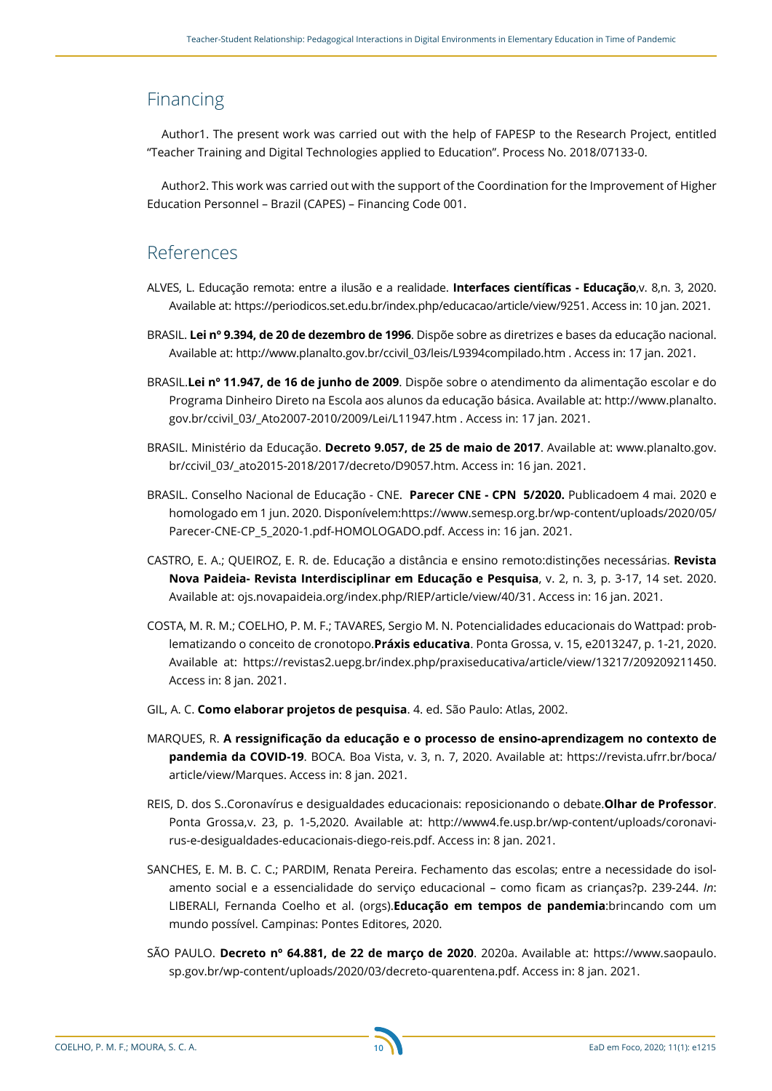## Financing

Author1. The present work was carried out with the help of FAPESP to the Research Project, entitled "Teacher Training and Digital Technologies applied to Education". Process No. 2018/07133-0.

Author2. This work was carried out with the support of the Coordination for the Improvement of Higher Education Personnel – Brazil (CAPES) – Financing Code 001.

# References

- ALVES, L. Educação remota: entre a ilusão e a realidade. **Interfaces científicas Educação**,v. 8,n. 3, 2020. Available at: <https://periodicos.set.edu.br/index.php/educacao/article/view/9251>. Access in: 10 jan. 2021.
- BRASIL. **Lei nº 9.394, de 20 de dezembro de 1996**. Dispõe sobre as diretrizes e bases da educação nacional. Available at: http://www.planalto.gov.br/ccivil\_03/leis/L9394compilado.htm . Access in: 17 jan. 2021.
- BRASIL.**Lei nº 11.947, de 16 de junho de 2009**. Dispõe sobre o atendimento da alimentação escolar e do Programa Dinheiro Direto na Escola aos alunos da educação básica. Available at: http://www.planalto. gov.br/ccivil\_03/\_Ato2007-2010/2009/Lei/L11947.htm . Access in: 17 jan. 2021.
- BRASIL. Ministério da Educação. **Decreto 9.057, de 25 de maio de 2017**. Available at: [www.planalto.gov.](http://www.planalto.gov.br/ccivil_03/_ato2015-2018/2017/decreto/D9057.htm) [br/ccivil\\_03/\\_ato2015-2018/2017/decreto/D9057.htm](http://www.planalto.gov.br/ccivil_03/_ato2015-2018/2017/decreto/D9057.htm). Access in: 16 jan. 2021.
- BRASIL. Conselho Nacional de Educação CNE. **Parecer CNE CPN 5/2020.** Publicadoem 4 mai. 2020 e homologado em 1 jun. 2020. Disponívelem:[https://www.semesp.org.br/wp-content/uploads/2020/05/](https://www.semesp.org.br/wp-content/uploads/2020/05/Parecer-CNE-CP_5_2020-1.pdf-HOMOLOGADO.pdf) [Parecer-CNE-CP\\_5\\_2020-1.pdf-HOMOLOGADO.pdf.](https://www.semesp.org.br/wp-content/uploads/2020/05/Parecer-CNE-CP_5_2020-1.pdf-HOMOLOGADO.pdf) Access in: 16 jan. 2021.
- CASTRO, E. A.; QUEIROZ, E. R. de. Educação a distância e ensino remoto:distinções necessárias. **Revista Nova Paideia- Revista Interdisciplinar em Educação e Pesquisa**, v. 2, n. 3, p. 3-17, 14 set. 2020. Available at: ojs.novapaideia.org/index.php/RIEP/article/view/40/31. Access in: 16 jan. 2021.
- COSTA, M. R. M.; COELHO, P. M. F.; TAVARES, Sergio M. N. Potencialidades educacionais do Wattpad: problematizando o conceito de cronotopo.**Práxis educativa**. Ponta Grossa, v. 15, e2013247, p. 1-21, 2020. Available at: https://revistas2.uepg.br/index.php/praxiseducativa/article/view/13217/209209211450. Access in: 8 jan. 2021.
- GIL, A. C. **Como elaborar projetos de pesquisa**. 4. ed. São Paulo: Atlas, 2002.
- MARQUES, R. **A ressignificação da educação e o processo de ensino-aprendizagem no contexto de pandemia da COVID-19**. BOCA. Boa Vista, v. 3, n. 7, 2020. Available at: https://revista.ufrr.br/boca/ article/view/Marques. Access in: 8 jan. 2021.
- REIS, D. dos S..Coronavírus e desigualdades educacionais: reposicionando o debate.**Olhar de Professor**. Ponta Grossa,v. 23, p. 1-5,2020. Available at: [http://www4.fe.usp.br/wp-content/uploads/coronavi](http://www4.fe.usp.br/wp-content/uploads/coronavirus-e-desigualdades-educacionais-diego-reis.pdf)[rus-e-desigualdades-educacionais-diego-reis.pdf](http://www4.fe.usp.br/wp-content/uploads/coronavirus-e-desigualdades-educacionais-diego-reis.pdf). Access in: 8 jan. 2021.
- SANCHES, E. M. B. C. C.; PARDIM, Renata Pereira. Fechamento das escolas; entre a necessidade do isolamento social e a essencialidade do serviço educacional – como ficam as crianças?p. 239-244. *In*: LIBERALI, Fernanda Coelho et al. (orgs).**Educação em tempos de pandemia**:brincando com um mundo possível. Campinas: Pontes Editores, 2020.
- SÃO PAULO. **Decreto nº 64.881, de 22 de março de 2020**. 2020a. Available at: https://www.saopaulo. sp.gov.br/wp-content/uploads/2020/03/decreto-quarentena.pdf. Access in: 8 jan. 2021.